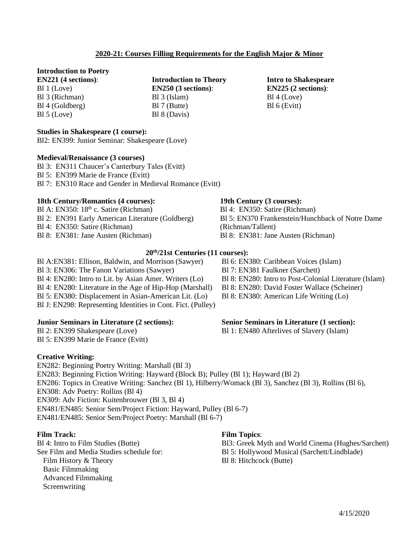Bl3: Greek Myth and World Cinema (Hughes/Sarchett) Bl 5: Hollywood Musical (Sarchett/Lindblade) Bl 8: Hitchcock (Butte)

Bl 8: EN280: Intro to Post-Colonial Literature (Islam) Bl 8: EN280: David Foster Wallace (Scheiner) Bl 8: EN380: American Life Writing (Lo)

# Bl 5: EN370 Frankenstein/Hunchback of Notre Dame

**Intro to Shakespeare EN225 (2 sections)**:

Bl 4 (Love) Bl 6 (Evitt)

Bl 8: EN381: Jane Austen (Richman)

Bl A:EN381: Ellison, Baldwin, and Morrison (Sawyer) Bl 3: EN306: The Fanon Variations (Sawyer) Bl 4: EN280: Intro to Lit. by Asian Amer. Writers (Lo) Bl 4: EN280: Literature in the Age of Hip-Hop (Marshall) Bl 5: EN380: Displacement in Asian-American Lit. (Lo) Bl J: EN298: Representing Identities in Cont. Fict. (Pulley)

# **Junior Seminars in Literature (2 sections):**

Bl 2: EN399 Shakespeare (Love) Bl 5: EN399 Marie de France (Evitt)

# **Creative Writing:**

EN282: Beginning Poetry Writing: Marshall (Bl 3) EN283: Beginning Fiction Writing: Hayward (Block B); Pulley (Bl 1); Hayward (Bl 2) EN286: Topics in Creative Writing: Sanchez (Bl 1), Hilberry/Womack (Bl 3), Sanchez (Bl 3), Rollins (Bl 6), EN308: Adv Poetry: Rollins (Bl 4) EN309: Adv Fiction: Kuitenbrouwer (Bl 3, Bl 4) EN481/EN485: Senior Sem/Project Fiction: Hayward, Pulley (Bl 6-7) EN481/EN485: Senior Sem/Project Poetry: Marshall (Bl 6-7)

**Film Topics**:

## **Film Track:**

Bl 4: Intro to Film Studies (Butte) See Film and Media Studies schedule for: Film History & Theory Basic Filmmaking Advanced Filmmaking **Screenwriting** 

# **2020-21: Courses Filling Requirements for the English Major & Minor**

**Introduction to Theory EN250 (3 sections)**:

Bl 3 (Islam) Bl 7 (Butte) Bl 8 (Davis)

## **Introduction to Poetry**

**EN221 (4 sections)**: Bl 1 (Love) Bl 3 (Richman) Bl 4 (Goldberg) Bl 5 (Love)

#### **Studies in Shakespeare (1 course):**

Bl2: EN399: Junior Seminar: Shakespeare (Love)

#### **Medieval/Renaissance (3 courses)**

Bl 3: EN311 Chaucer's Canterbury Tales (Evitt) Bl 5: EN399 Marie de France (Evitt) Bl 7: EN310 Race and Gender in Medieval Romance (Evitt)

### **18th Century/Romantics (4 courses):**

Bl A: EN350:  $18<sup>th</sup>$  c. Satire (Richman) Bl 2: EN391 Early American Literature (Goldberg) Bl 4: EN350: Satire (Richman) Bl 8: EN381: Jane Austen (Richman)

# **20 th/21st Centuries (11 courses):**

Bl 6: EN380: Caribbean Voices (Islam) Bl 7: EN381 Faulkner (Sarchett)

#### **Senior Seminars in Literature (1 section):**

Bl 1: EN480 Afterlives of Slavery (Islam)

**19th Century (3 courses):** Bl 4: EN350: Satire (Richman) (Richman/Tallent)